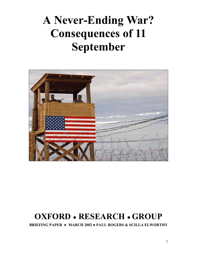# **A Never-Ending War? Consequences of 11 September**



## **OXFORD ● RESEARCH ● GROUP**

**BRIEFING PAPER ● MARCH 2002 ● PAUL ROGERS & SCILLA ELWORTHY**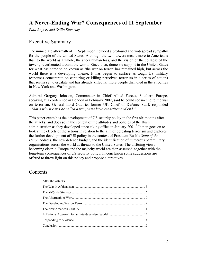## **A Never-Ending War? Consequences of 11 September**

*Paul Rogers and Scilla Elworthy* 

### Executive Summary

The immediate aftermath of 11 September included a profound and widespread sympathy for the people of the United States. Although the twin towers meant more to Americans than to the world as a whole, the sheer human loss, and the vision of the collapse of the towers, reverberated around the world. Since then, domestic support in the United States for what has come to be known as 'the war on terror' has remained high, but across the world there is a developing unease. It has begun to surface as tough US military responses concentrate on capturing or killing perceived terrorists in a series of actions that seems set to escalate and has already killed far more people than died in the atrocities in New York and Washington.

Admiral Gregory Johnson, Commander in Chief Allied Forces, Southern Europe, speaking at a conference in London in February 2002, said he could see no end to the war on terrorism. General Lord Guthrie, former UK Chief of Defence Staff, responded *"That's why it can't be called a war; wars have ceasefires and end."* 

This paper examines the development of US security policy in the first six months after the attacks, and does so in the context of the attitudes and policies of the Bush administration as they developed since taking office in January  $2001$ .<sup>1</sup> It then goes on to look at the effects of the actions in relation to the aim of defeating terrorism and explores the further development of US policy in the context of President Bush's *State of the Union* address, the new defence budget, and the identification of numerous paramilitary organisations across the world as threats to the United States. The differing views becoming clear in Europe and the majority world are then assessed, together with the long-term consequences of US security policy. In conclusion some suggestions are offered to throw light on this policy and propose alternatives.

#### **Contents**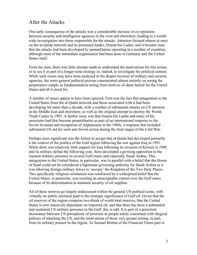## After the Attacks

One early consequence of the attacks was a considerable increase in co-operation between security and intelligence agencies in the west and elsewhere, leading to a worldwide investigation into those responsible for the attacks. Attention focused almost at once on the al-Qaida network and its presumed leader, Osama bin Laden, and it became clear that the attacks had been developed by paramilitaries operating in a number of countries, although most of the immediate organisation had been done in Germany and the United States itself.

From the start, there was little attempt made to understand the motivations for this action, or to see it as part of a longer-term strategy or, indeed, to investigate the political context. While such issues may have been analysed in the deeper recesses of military and security agencies, the more general political process concentrated almost entirely on seeing the perpetrators simply as fundamentalists acting from motives of sheer hatred for the United States and all it stood for.

A number of issues appear to have been ignored. First was the fact that antagonism to the United States from the al-Qaida network and those associated with it had been developing for more than a decade, with a number of substantial attacks on US interests in the Middle East and elsewhere, as well as the original attempt to destroy the World Trade Center in 1993. A further issue was that Osama bin Laden and many of his associates had first become paramilitaries as part of an international response to the Soviet invasion and occupation of Afghanistan in the 1980s, a response that included substantial US aid for such anti-Soviet action during the final stages of the Cold War.

Perhaps most significant was the failure to accept that al-Qaida had developed primarily n the context of the politics of the Gulf region following the war against Iraq in 1991. While there was relatively little support for Iraq following its invasion of Kuwait in 1990 and its military defeat the following year, there developed a growing opposition to the western military presence in several Gulf states and especially Saudi Arabia. This antagonism to the United States, in particular, was in parallel with a belief that the House of Saud could not be considered a legitimate governing authority for Saudi Arabia as it was allowing foreign military forces to 'occupy' the Kingdom of the Two Holy Places. This specifically religious orientation was reinforced by a widespread belief that the United States, in particular, was exerting an unacceptable control over the Gulf states because of its determination to maintain security of oil supplies.

All of these motives go largely undiscussed within the general US political scene, with virtually no public attention paid to the strategic significance of Gulf oil. Given that the oil reserves of the region comprise two-thirds of world total reserves, that the United States is now massively dependent on imported oil, and that there has been a substantial and sustained US military presence in the Gulf, this is odd. It is part of a persistent dissonance between US perceptions of terrorists as people solely concerned with illogical policies of attacking the US, and the motivations of those very groups arising, in part, from its military posture in the region. As Samuel Brittan of the Financial Times puts it: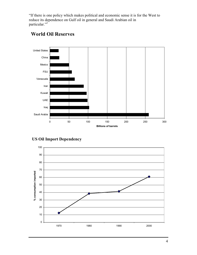"If there is one policy which makes political and economic sense it is for the West to reduce its dependence on Gulf oil in general and Saudi Arabian oil in particular."<sup>2</sup>



## **World Oil Reserves**



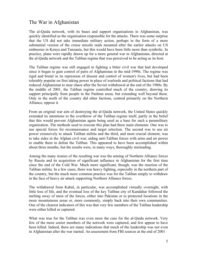## The War in Afghanistan

The al-Qaida network, with its bases and support organisations in Afghanistan, was quickly identified as the organisation responsible for the attacks. There was some surprise that the US did not take immediate military action, perhaps in the form of a more substantial version of the cruise missile raids mounted after the earlier attacks on US embassies in Kenya and Tanzania, but this would have been little more than symbolic. In practice, plans were rapidly drawn up for a more general war in Afghanistan, directed at the al-Qaida network and the Taliban regime that was perceived to be acting as its host.

The Taliban regime was still engaged in fighting a bitter civil war that had developed since it began to gain control of parts of Afghanistan in the mid-1990s. The regime was rigid and brutal in its repression of dissent and control of women's lives, but had been tolerably popular on first taking power in place of warlords and political factions that had reduced Afghanistan to near chaos after the Soviet withdrawal at the end of the 1980s. By the middle of 2001, the Taliban regime controlled much of the country, drawing its support principally from people in the Pashtun areas, but extending well beyond these. Only in the north of the country did other factions, centred primarily on the Northern Alliance, oppose it.

From an original war aim of destroying the al-Qaida network, the United States quickly extended its intentions to the overthrow of the Taliban regime itself, partly in the belief that this would prevent Afghanistan again being used as a base for such a paramilitary organisation. The methods used to execute this plan had three main elements. One was to use special forces for reconnaissance and target selection. The second was to use air power extensively to attack Taliban militia and the third, and most crucial element, was to take sides in the Afghan civil war, aiding anti-Taliban forces with arms and air power to enable them to defeat the Taliban. This appeared to have been accomplished within about three months, but the results were, in many ways, thoroughly misleading.

Among the many ironies of the resulting war was the arming of Northern Alliance forces by Russia and its acquisition of significant influence in Afghanistan for the first time since the end of the Cold War. Much more significant, though, was the reaction of the Taliban militia. In a few cases, there was heavy fighting, especially in the northern part of the country, but the much more common practice was for the Taliban simply to withdraw in the face of heavy air attack supporting Northern Alliance forces.

The withdrawal from Kabul, in particular, was accomplished virtually overnight, with little loss of life, and the eventual loss of the key Taliban city of Kandahar followed the melting away of most of the forces, either into Pakistan or to protected locations in the more mountainous areas or, more commonly, simply back into their own communities. One of the clearest indicators of this was that very few members of the Taliban leadership were either killed or captured.

What was true for the Taliban was even more the case for the al-Qaida network. Very few of the more senior members of the network were captured, and few appear to have been killed. Indeed, there are many indications that much of the leadership was not even in Afghanistan after the war started. An assessment from FBI sources at the end of 2001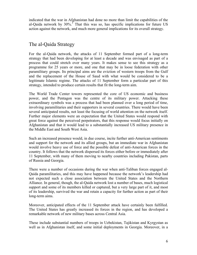indicated that the war in Afghanistan had done no more than limit the capabilities of the al-Qaida network by  $30\%$ <sup>3</sup>. That this was so, has specific implications for future US action against the network, and much more general implications for its overall strategy.

## The al-Qaida Strategy

For the al-Qaida network, the attacks of 11 September formed part of a long-term strategy that had been developing for at least a decade and was envisaged as part of a process that could stretch over many years. It makes sense to see this strategy as a programme for 25 years or more, and one that may be in loose federation with other paramilitary groups. Its principal aims are the eviction of western troops from the Gulf and the replacement of the House of Saud with what would be considered to be a legitimate Islamic regime. The attacks of 11 September form a particular part of this strategy, intended to produce certain results that fit the long-term aim.

The World Trade Center towers represented the core of US economic and business power, and the Pentagon was the centre of its military power. Attacking these extraordinary symbols was a process that had been planned over a long period of time, involving paramilitaries and their supporters in several countries. There would have been several anticipated results, not least the focusing of world attention on the network itself. Further major elements were an expectation that the United States would respond with great force against the perceived perpetrators, that this response would focus initially on Afghanistan and that it would lead to a substantially increased US military presence in the Middle East and South West Asia.

Such an increased presence would, in due course, incite further anti-American sentiments and support for the network and its allied groups, but an immediate war in Afghanistan would involve heavy use of force and the possible defeat of anti-American forces in the country. It follows that the network dispersed its forces either before or immediately after 11 September, with many of them moving to nearby countries including Pakistan, parts of Russia and Georgia.

There were a number of occasions during the war when anti-Taliban forces engaged al-Qaida paramilitaries, and this may have happened because the network's leadership had not expected such a close association between the United States and the Northern Alliance. In general, though, the al-Qaida network lost a number of bases, much logistical support and some of its members killed or captured, but a very large part of it, and most of its leadership, survived the war and retain a capacity for further action as part of their long-term aims.

Moreover, anticipated effects of the 11 September attack have certainly been fulfilled. The United States has greatly increased its forces in the region, and has developed a remarkable network of new military bases across Central Asia.

These include substantial numbers of troops in Uzbekistan, Tajikistan and Kyrgystan as well as in Afghanistan itself, and some initial deployments in Georgia. Moreover, in a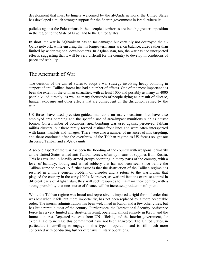development that must be hugely welcomed by the al-Qaida network, the United States has developed a much stronger support for the Sharon government in Israel, where its

policies against the Palestinians in the occupied territories are inciting greater opposition in the region to the State of Israel and to the United States.

In short, the war in Afghanistan has so far damaged but certainly not destroyed the al-Qaida network, while ensuring that its longer-term aims are, on balance, aided rather than limited by wider regional developments. In Afghanistan, too, the war has had unexpected effects, suggesting that it will be very difficult for the country to develop in conditions of peace and stability.

## The Aftermath of War

The decision of the United States to adopt a war strategy involving heavy bombing in support of anti-Taliban forces has had a number of effects. One of the most important has been the extent of the civilian casualties, with at least 1000 and possibly as many as 4000 people killed directly, as well as many thousands of people dying as a result of disease, hunger, exposure and other effects that are consequent on the disruption caused by the war.

US forces have used precision-guided munitions on many occasions, but have also employed area bombing and the specific use of area-impact munitions such as cluster bombs. On a number of occasions, area bombing was used against perceived Taliban militia clusters, but these rarely formed distinct front lines and were often interspersed with farms, hamlets and villages. There were also a number of instances of mis-targeting, and these continued after the overthrow of the Taliban regime as US forces sought out dispersed Taliban and al-Qaida units.

A second aspect of the war has been the flooding of the country with weapons, primarily as the United States armed anti-Taliban forces, often by means of supplies from Russia. This has resulted in heavily armed groups operating in many parts of the country, with a level of banditry, looting and armed robbery that has not been seen since before the Taliban came to power. A further issue is that the destruction of the Taliban regime has resulted in a more general problem of disorder and a return to the warlordism that plagued the country in the early 1990s. Moreover, as warlord factions exercise control in different parts of Afghanistan, they will seek resources to maintain their control, with a strong probability that one source of finance will be increased production of opium.

While the Taliban regime was brutal and repressive, it imposed a rigid form of order that was lost when it fell, but more importantly, has not been replaced by a more acceptable order. The interim administration has been welcomed in Kabul and a few other cities, but has little remit in most of the country. Furthermore, the International Security Assistance Force has a very limited and short-term remit, operating almost entirely in Kabul and the immediate area. Repeated requests from UN officials, and the interim government, for external aid to increase this commitment have not been answered. The United States, in particular, is unwilling to engage in this type of operation and is still much more concerned with conducting further offensive military operations.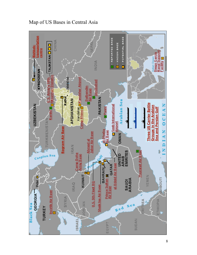

Map of US Bases in Central Asia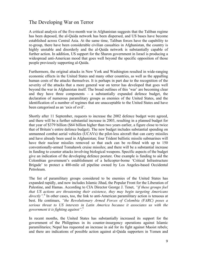## The Developing War on Terror

A critical analysis of the five-month war in Afghanistan suggests that the Taliban regime has been deposed, the al-Qaida network has been dispersed, and US bases have become established across Central Asia. At the same time, Taliban forces have the capability to re-group, there have been considerable civilian casualties in Afghanistan, the country is highly unstable and disorderly and the al-Qaida network is substantially capable of further action. In addition, US support for the Sharon government in Israel is producing a widespread anti-American mood that goes well beyond the specific opposition of those people previously supporting al-Qaida.

Furthermore, the original attacks in New York and Washington resulted in wide-ranging economic effects in the United States and many other countries, as well as the appalling human costs of the attacks themselves. It is perhaps in part due to the recognition of the severity of the attacks that a more general war on terror has developed that goes well beyond the war in Afghanistan itself. The broad outlines of this 'war' are becoming clear and they have three components – a substantially expanded defence budget, the declaration of numerous paramilitary groups as enemies of the United States, and the identification of a number of regimes that are unacceptable to the United States and have been categorised as an 'axis of evil'.

Shortly after 11 September, requests to increase the 2002 defence budget were agreed, and there will be a further substantial increase in 2003, resulting in a planned budget for that year of \$379 billion (\$64 billion higher than two years earlier, a figure close to twice that of Britain's entire defence budget). The new budget includes substantial spending on unmanned combat aerial vehicles (UCAVs) the pilot-less aircraft that can carry missiles and have already been used in Afghanistan; four Trident ballistic missile submarines will have their nuclear missiles removed so that each can be re-fitted with up to 150 conventionally-armed Tomahawk cruise missiles; and there will be a substantial increase in funding to counter attacks involving biological weapons. Specific aspects of the budget give an indication of the developing defence posture. One example is funding to aid the Colombian government's establishment of a helicopter-borne 'Critical Infrastructure Brigade' to protect a 480-mile oil pipeline owned by Los Angeles-based Occidental Petroleum.

The list of paramilitary groups considered to be enemies of the United States has expanded rapidly, and now includes Islamic Jihad, the Popular Front for the Liberation of Palestine, and Hamas. According to CIA Director George J. Tenet, *"if these groups feel that US actions are threatening their existence, they may begin targeting Americans*  directly".<sup>4</sup> In other cases, too, the link to anti-American paramilitary action is tenuous at best. He continues, *"the Revolutionary Armed Forces of Colombia (FARC) poses a serious threat to US interests in Latin America because it associates us with the government it is fighting against".*<sup>5</sup>

In recent months, the United States has substantially increased its support for the government of the Philippines in its counter-insurgency operations against Islamic paramilitaries; Nepal has requested an increase in aid for its fight against Maoist rebels; and there are indications of possible action against al-Qaida supporters in Yemen and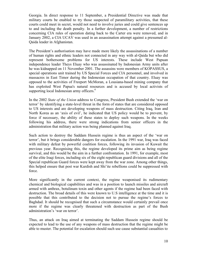Georgia. In direct response to 11 September, a Presidential Directive was made that military courts be enabled to try those suspected of paramilitary activities, that these courts could meet in secret, would not need to involve juries and could give sentences up to and including the death penalty. In a further development, a number of restrictions concerning CIA rules of operation dating back to the Carter era were removed, and in January 2002, a CIA UCAV was used in an assassination attempt against a presumed al-Qaida leader in Afghanistan.

The President's authorisation may have made more likely the assassinations of a number of human rights and ethnic leaders not connected in any way with al-Qaida but who did represent bothersome problems for US interests. These include West Papuan independence leader Theys Eluay who was assassinated by Indonesian Army units after he was kidnapped on 11 November 2001. The assassins were members of KOPASSUS, a special operations unit trained by US Special Forces and CIA personnel, and involved in massacres in East Timor during the Indonesian occupation of that country. Eluay was opposed to the activities of Freeport McMoran, a Lousiana-based mining company that has exploited West Papua's natural resources and is accused by local activists of supporting local Indonesian army officers.<sup>6</sup>

In the 2002 *State of the Union* address to Congress, President Bush extended the 'war on terror' by identifying a state-level threat in the form of states that are considered opposed to US interests and are developing weapons of mass destruction. Citing Iraq, Iran and North Korea as an 'axis of evil', he indicated that US policy would be to prevent, by force if necessary, the ability of these states to deploy such weapons. In the weeks following his address, there were strong indications from senior officers in the administration that military action was being planned against Iraq.

Such action to destroy the Saddam Hussein regime is thus an aspect of the 'war on terror', but it brings considerable dangers for escalation. In the 1991 war, Iraq was faced with military defeat by powerful coalition forces, following its invasion of Kuwait the previous year. Recognising this, the regime developed its prime aim as being regime survival, and this would be the aim in a further confrontation. In 1991, for example, most of the elite Iraqi forces, including six of the eight republican guard divisions and all of the Special republican Guard forces were kept away from the war zone. Among other things, this helped ensure that post war Kurdish and Shi'ite rebellions could be suppressed with force.

More significantly in the current context, the regime weaponised its rudimentary chemical and biological capabilities and was in a position to launch missiles and aircraft armed with anthrax, botulinum toxin and other agents if the regime had been faced with destruction. The broad details of this were known to U.S intelligence at the time and it is possible that this contributed to the decision not to pursue the regime's forces to Baghdad. It should be recognised that such a circumstance would certainly prevail once more if the regime was clearly threatened with destruction as part of the Bush administration's 'war on terror'.

Thus, an attack on Iraq aimed at terminating the Saddam Hussein regime should be expected to lead to the use of any weapons of mass destruction that the regime might be able to muster. The potential for escalation should such use cause substantial casualties to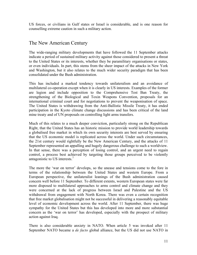US forces, or civilians in Gulf states or Israel is considerable, and is one reason for counselling extreme caution in such a military action.

## The New American Century

The wide-ranging military developments that have followed the 11 September attacks indicate a period of sustained military activity against those considered to present a threat to the United States or its interests, whether they be paramilitary organisations or states, or even individuals. In part, this stems from the sheer impact of the attacks in New York and Washington, but it also relates to the much wider security paradigm that has been consolidated under the Bush administration.

This has included a marked tendency towards unilateralism and an avoidance of multilateral co-operation except when it is clearly in US interests. Examples of the former are legion and include opposition to the Comprehensive Test Ban Treaty, the strengthening of the Biological and Toxin Weapons Convention, proposals for an international criminal court and for negotiations to prevent the weaponisation of space. The United States is withdrawing from the Anti-Ballistic Missile Treaty, it has ended participation in the Kyoto climate change discussions and has been critical of the land mine treaty and of UN proposals on controlling light arms transfers.

Much of this relates to a much deeper conviction, particularly strong on the Republican Right, that the United States has an historic mission to provide world leadership towards a globalised free market in which its own security interests are best served by ensuring that the US economic model is replicated across the world. Under such circumstances, the 21st century would rightfully be the New American Century, and the attacks of 11 September represented an appalling and hugely dangerous challenge to such a worldview. In that sense, there was a perception of losing control, and an urgent need to regain control, a process best achieved by targeting those groups perceived to be violently antagonistic to US interests.<sup>7</sup>

The more the 'war on terror' develops, so the unease and tensions come to the fore in terms of the relationship between the United States and western Europe. From a European perspective, the unilateralist leanings of the Bush administration caused concern well before 11 September. To different extents, western European states were far more disposed to multilateral approaches to arms control and climate change and they were concerned at the lack of progress between Israel and Palestine and the US withdrawal from engagement with North Korea. There was even a certain recognition that free market globalisation might not be successful in delivering a reasonably equitable level of economic development across the world. After 11 September, there was huge sympathy for the United States but this has developed into more and more substantial concern as the 'war on terror' has developed, especially with the prospect of military action against Iraq.

There is also considerable anxiety in NATO. When article 5 was invoked after 11 September NATO became a *de facto* global alliance, but the US did not use NATO in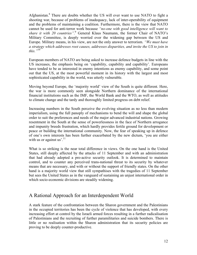Afghanistan.<sup>8</sup> There are doubts whether the US will ever want to use NATO to fight a shooting war, because of problems of inadequacy, lack of inter-operability of equipment and the problems of maintaining a coalition. Furthermore, there is the view that NATO cannot be used for anti-terror work because *"no-one with good intelligence will want to*  share it with 20 countries".<sup>9</sup> General Klaus Naumann, the former Chair of NATO's Military Committee, is deeply worried over the widening gap between the US and Europe. Military means, in his view, are not the only answer to terrorism. *"We must have a strategy which addresses root causes, addresses disparities, and invite the US to join in this."*10

European members of NATO are being asked to increase defence budgets in line with the US increases, the emphasis being on 'capability, capability and capability'. Europeans have tended to be as interested in enemy intentions as enemy capability, and some point out that the US, at the most powerful moment in its history with the largest and most sophisticated capability in the world, was utterly vulnerable.

Moving beyond Europe, the 'majority world' view of the South is quite different. Here, the war is more commonly seen alongside Northern dominance of the international financial institutions such as the IMF, the World Bank and the WTO, as well as attitudes to climate change and the tardy and thoroughly limited progress on debt relief.

Increasing numbers in the South perceive the evolving situation as no less than modern imperialism, using the full panoply of mechanisms to bend the will and shape the global order to suit the preferences and needs of the major advanced industrial nations. Growing resentment in the South at the sense of powerlessness in the face of Northern arrogance and impunity breeds frustration, which hardly provides fertile ground for development or peace or building the international community. Now, the fear of speaking up in defence of one's own interests has been further exacerbated by the new dictum, 'you are either with us or against us'. $^{11}$ 

What is so striking is the near total difference in views. On the one hand is the United States, still deeply affected by the attacks of 11 September and with an administration that had already adopted a pro-active security outlook. It is determined to maintain control, and to counter any perceived trans-national threat to its security by whatever means that are necessary, and with or without the support of friendly states. On the other hand is a majority world view that still sympathises with the tragedies of 11 September but sees the United States as in the vanguard of sustaining an unjust international order in which socio-economic divisions are steadily widening.

## A Rational Approach for an Interdependent World

A stark feature of the confrontation between the Sharon government and the Palestinians in the occupied territories has been the cycle of violence that has developed, with every increasing effort at control by the Israeli armed forces resulting in a further radicalisation of Palestinians and the recruiting of further paramilitaries and suicide bombers. There is little or no realisation within the Sharon administration that its security policies are proving to be deeply counter-productive.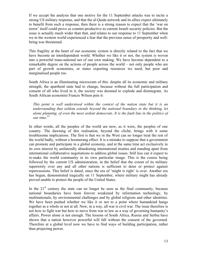If we accept the analysis that one motive for the 11 September attacks was to incite a strong US military response, and that the al-Qaida network and its allies expect ultimately to benefit from such a response, then there is a strong reason to expect that the 'war on terror' itself could prove as counter-productive as current Israeli security policies. But the issue is actually much wider than that, and relates to our response to 11 September when we in the western world experienced a fear that the previous sense of prosperity and wellbeing was threatened.

This fragility at the heart of our economic system is directly related to the fact that we have become an interdependent world. Whether we like it or not, the system is woven into a powerful trans-national net of our own making. We have become dependent to a remarkable degree on the actions of people across the world – not only people who are part of growth economies, or states exporting resources we need, but poor and marginalised people too.

South Africa is an illuminating microcosm of this: despite all its economic and military strength, the apartheid state had to change, because without the full participation and consent of all who lived in it, the society was doomed to explode and disintegrate. As South African economist Francis Wilson puts it:

*This point is well understood within the context of the nation state but it is an understanding that seldom extends beyond the national boundary in the thinking, let alone planning, of even the most ardent democrats. It is the fault line in the politics of our time*. 12

In other words, all the peoples of the world are now, as it were, the peoples of one country. The dawning of this realisation, beyond the cliché, brings with it some troublesome implications. The first is that we in the West can no longer treat the rest of the world badly, without a boomerang effect. It is a mistake to suppose that a government can promote and participate in a global economy, and at the same time act exclusively in its own interest by unilaterally abandoning international treaties and standing apart from international collaborative negotiations to address global issues. Still less can it expect to re-make the world community in its own particular image. This is the course being followed by the current US administration, in the belief that the extent of its military superiority over any and all other nations is sufficient to deter or protect against repercussions. This belief is dated, since the era of 'might is right' is over. Another era has begun, demonstrated tragically on 11 September, where military might has already proved unable to protect the people of the United States.

In the  $21<sup>st</sup>$  century the state can no longer be seen as the final community, because national boundaries have been forever weakened by information technology, by multinationals, by environmental challenges and by global religions and other identities. We have been pushed whether we like it or not to a point where humankind hangs together as a whole or not at all. Now, in a way, all war is civil war. The issue therefore is not how to fight war but how to move from war to law as a way of governing humanity's affairs. Power alone is not enough. The lessons of South Africa, Russia and Serbia have shown that a nation however powerful will fall without the consent of the governed. Therefore at a global level now we have to find ways of building participation, rather than projecting power.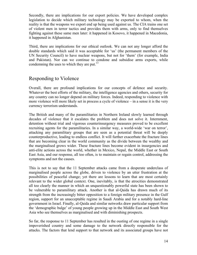Secondly, there are implications for our export policies. We have developed complex legislation to decide which military technology may be exported to whom, when the reality is that the weapons we export end up being used against us. The CIA trains one set of violent men in terror tactics and provides them with arms, only to find themselves fighting against these same men later: it happened in Kosovo, it happened in Macedonia, it happened in Afghanistan.

Third, there are implications for our ethical outlook. We can not any longer afford the double standards which said it was acceptable for 'us' (the permanent members of the UN Security Council) to have nuclear weapons, but not for 'them' (for example, India and Pakistan). Nor can we continue to condone and subsidise arms exports, while condemning the uses to which they are put. $^{13}$ 

## Responding to Violence

Overall, there are profound implications for our concepts of defence and security. Whatever the best efforts of the military, the intelligence agencies and others, security for any country can no longer depend on military forces. Indeed, responding to violence with more violence will more likely set in process a cycle of violence – in a sense it is the very currency terrorism understands.

The British and many of the paramilitaries in Northern Ireland slowly learned through decades of violence that it escalates the problem and does not solve it. Internment, detention without trial and vigorous counterinsurgency measures proved to be excellent recruiting agents for the paramilitaries. In a similar way, a world-wide 'war on terror', attacking any paramilitary groups that are seen as a potential threat will be deeply counterproductive, leading to endless conflict. It will further exacerbate the fracture lines that are becoming clear in the world community as the divide between the wealthy and the marginalised grows wider. These fracture lines become evident in insurgencies and anti-elite actions across the world, whether in Mexico, Nepal, the Middle East or South East Asia, and our response, all too often, is to maintain or regain control, addressing the symptoms and not the causes.

This is not to say that the 11 September attacks came from a desperate underclass of marginalised people across the globe, driven to violence by an utter frustration at the possibilities of peaceful change; yet there are lessons to learn that are most certainly relevant to the wider global context. One, inevitably, is that the atrocities demonstrated all too clearly the manner in which an unquestionably powerful state has been shown to be vulnerable to paramilitary attack. Another is that al-Qaida has drawn much of its strength from the increasingly bitter opposition to a foreign military presence in the Gulf region, support for an unacceptable regime in Saudi Arabia and for a notably hard-line government in Israel. Finally, al-Qaida and similar networks draw particular support from the 'demographic bulge' of young people growing up in the Middle East and South West Asia who see themselves as marginalised and with diminishing prospects.

So far, the response to 11 September has resulted in the ousting of one regime in a single impoverished country and some damage to the network directly responsible for the attacks. The factors that lend support to that network and its associated groups have not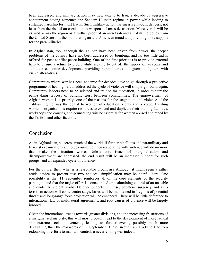been addressed, and military action may now extend to Iraq, a decade of aggressive containment having cemented the Saddam Hussein regime in power while leading to sustained hardship for most Iraqis. Such military action has massive in-built dangers, not least from the risk of an escalation to weapons of mass destruction. Moreover, it will be viewed across the region as a further proof of an anti-Arab and anti-Islamic policy from the United States, further stimulating an anti-American mood and providing more support for the paramilitaries.

In Afghanistan, too, although the Taliban have been driven from power, the deeper problems of the country have not been addressed by bombing, and far too little aid is offered for post-conflict peace-building. One of the first priorities is to provide external help to ensure a return to order, while seeking to cut off the supply of weapons and stimulate economic development, providing paramilitaries and guerrilla fighters with viable alternatives.

Communities where war has been endemic for decades have to go through a pro-active programme of healing; left unaddressed the cycle of violence will simply go round again. Community leaders need to be selected and trained for mediation, in order to start the pain-staking process of building trust between communities. The empowerment of Afghan women is a priority; one of the reasons for the stagnation and violence of the Taliban regime was the denial to women of education, rights and a voice. Existing women's organisations require resources to expand and duplicate their training facilities, workshops and courses, and counselling will be essential for women abused and raped by the Taliban and other factions.

## Conclusion

As in Afghanistan, so across much of the world, if further rebellions and paramilitary and terrorist organisations are to be countered, then responding with violence will do no more than make the situation worse. Unless core issues of marginalisation and disempowerment are addressed, the end result will be an increased support for such groups, and an expanded cycle of violence.

For the future, then, what is a reasonable prognosis? Although it might seem a rather crude device to present just two choices, simplification may be helpful here. One possibility is that 11 September reinforces all of the core elements of the security paradigm, and that the major effort is concentrated on maintaining control of an unstable and evidently violent world. Defence budgets will rise, counter-insurgency and antiterrorism action will come centre stage, bases will be maintained in 'regions of potential threat' and long-range force projection will be enhanced. There will be little deference to international law or multilateral agreements, and root causes of violence will be largely ignored.

Given the international trends towards greater divisions, and the increasing frustrations of a marginalised majority, this will most probably lead to the development of more radical and extreme social movements, leading to further events, possibly much more devastating than the massacres of 11 September. These, in turn, are likely to lead to a redoubling of efforts to maintain control, a never-ending war indeed.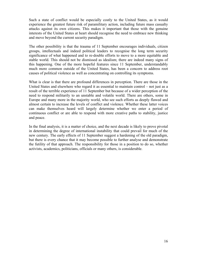Such a state of conflict would be especially costly to the United States, as it would experience the greatest future risk of paramilitary action, including future mass casualty attacks against its own citizens. This makes it important that those with the genuine interests of the United States at heart should recognise the need to embrace new thinking and move beyond the current security paradigm.

The other possibility is that the trauma of 11 September encourages individuals, citizen groups, intellectuals and indeed political leaders to recognise the long term security significance of what happened and to re-double efforts to move to a more equitable and stable world. This should not be dismissed as idealism; there are indeed many signs of this happening. One of the more hopeful features since 11 September, understandably much more common outside of the United States, has been a concern to address root causes of political violence as well as concentrating on controlling its symptoms.

What is clear is that there are profound differences in perception. There are those in the United States and elsewhere who regard it as essential to maintain control – not just as a result of the terrible experience of 11 September but because of a wider perception of the need to respond militarily to an unstable and volatile world. There are others, some in Europe and many more in the majority world, who see such efforts as deeply flawed and almost certain to increase the levels of conflict and violence. Whether these latter voices can make themselves heard will largely determine whether we enter a period of continuous conflict or are able to respond with more creative paths to stability, justice and peace.

In the final analysis, it is a matter of choice, and the next decade is likely to prove pivotal in determining the degree of international instability that could prevail for much of the new century. The early effects of 11 September suggest a hardening of the old paradigm, but there is every chance that it may become possible to further analyse and demonstrate the futility of that approach. The responsibility for those in a position to do so, whether activists, academics, politicians, officials or many others, is considerable.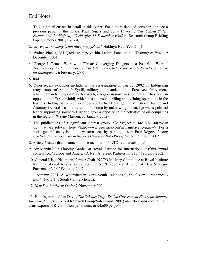## End Notes

- 1. This is not discussed in detail in this paper. For a more detailed consideration see a previous paper in this series: Paul Rogers and Scilla Elworthy, *The United States, Europe and the Majority World after 11 September* (Oxford Research Group Briefing Paper, October 2001, Oxford).
- 2. *'My enemy's enemy is not always my friend',* Hakluyt, New Year 2002.
- 3. Walter Pincus, 'Al Qaeda to survive bin Laden, Panel told', *Washington Post*, 19 December 2001.
- 4. George J. Tenet, 'Worldwide Threat: Converging Dangers in a Post 9/11 World.' *Testimony of the Director of Central Intelligence before the Senate Select Committee on Intelligence,* 6 February, 2002.
- 5. Ibid.
- 6. Other recent examples include: is the assassination on Jan 22, 2002 by Indonesian army troops of Abdullah Syafii, military commander of the Free Aceh Movement, which demands independence for Aceh, a region in northwest Sumatra. It has been in opposition to Exxon Mobil, which has extensive drilling and refining operations in the territory. In Nigeria, on 23 December 2001 Chief Bola Ige, the Minister of Justice and Attorney General was murdered in his home by unknown gunmen. Ige was a political leader supporting southern Nigerian groups opposed to the activities of oil companies in the region. (Wayne Masden, 31 January 2002)
- 7. The publications of a significant interest group, *The Project on the New American Century*, are relevant here <http://www.geocities.com/newamericancentury/>. For a more general analysis of the western security paradigm, see: Paul Rogers, *Losing Control: Global Security in the 21st Century* (Pluto Press, 2nd edition, June 2002).
- 8. Article 5 states that an attack on one member of NATO is an attack on all.
- 9. Air Marshal Sir Timothy Garden at Royal Institute for International Affairs annual conference; 'Europe and America A New Strategic Partnership', 18<sup>th</sup> February 2002.
- 10. General Klaus Naumann, former Chair, NATO Military Committee at Royal Institute for International Affairs annual conference; 'Europe and America A New Strategic Partnership', 18<sup>th</sup> February 2002.
- 11. 'Autumn 2001: A Watershed in North-South Relations?', *South Letter,* Volumes 3 and 4, 2001, The South Centre, Geneva.
- 12. *New South African Outlook,* November 2001.

13. Paul Ingram and Ian Davis, *The Subsidy Trap: British Government Financial Support for Arms Exports* (Oxford Research Group/Saferworld, 2001) identifies subsidies to UK arms exports of £420 million per annum, or £4,600 per job.